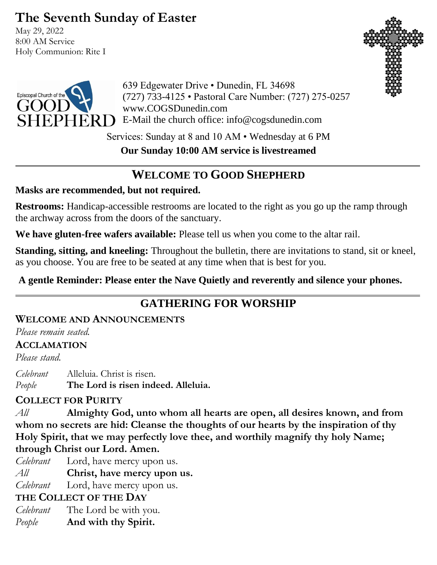# **The Seventh Sunday of Easter**

May 29, 2022 8:00 AM Service Holy Communion: Rite I





639 Edgewater Drive • Dunedin, FL 34698 (727) 733-4125 • Pastoral Care Number: (727) 275-0257 www.COGSDunedin.com E-Mail the church office: info@cogsdunedin.com

Services: Sunday at 8 and 10 AM • Wednesday at 6 PM

**Our Sunday 10:00 AM service is livestreamed**

# **WELCOME TO GOOD SHEPHERD**

## **Masks are recommended, but not required.**

**Restrooms:** Handicap-accessible restrooms are located to the right as you go up the ramp through the archway across from the doors of the sanctuary.

**We have gluten-free wafers available:** Please tell us when you come to the altar rail.

**Standing, sitting, and kneeling:** Throughout the bulletin, there are invitations to stand, sit or kneel, as you choose. You are free to be seated at any time when that is best for you.

**A gentle Reminder: Please enter the Nave Quietly and reverently and silence your phones.**

# **GATHERING FOR WORSHIP**

## **WELCOME AND ANNOUNCEMENTS**

*Please remain seated.*

## **ACCLAMATION**

*Please stand.*

*Celebrant* Alleluia. Christ is risen. *People* **The Lord is risen indeed. Alleluia.**

## **COLLECT FOR PURITY**

*All* **Almighty God, unto whom all hearts are open, all desires known, and from whom no secrets are hid: Cleanse the thoughts of our hearts by the inspiration of thy Holy Spirit, that we may perfectly love thee, and worthily magnify thy holy Name; through Christ our Lord. Amen.**

- *Celebrant* Lord, have mercy upon us.
- *All* **Christ, have mercy upon us.**
- *Celebrant* Lord, have mercy upon us.

# **THE COLLECT OF THE DAY**

- *Celebrant* The Lord be with you.
- *People* **And with thy Spirit.**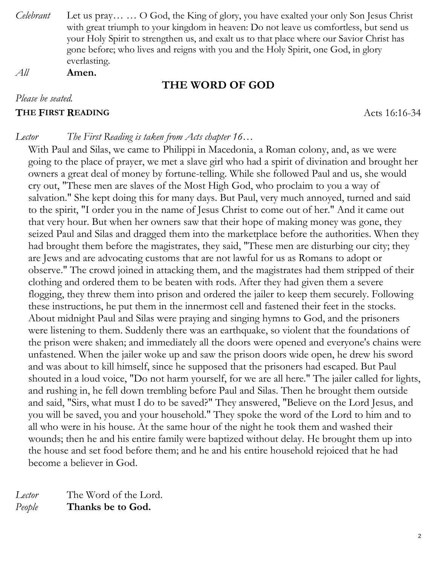- *Celebrant* Let us pray… … O God, the King of glory, you have exalted your only Son Jesus Christ with great triumph to your kingdom in heaven: Do not leave us comfortless, but send us your Holy Spirit to strengthen us, and exalt us to that place where our Savior Christ has gone before; who lives and reigns with you and the Holy Spirit, one God, in glory everlasting.
- *All* **Amen.**

#### **THE WORD OF GOD**

#### *Please be seated.*

#### **THE FIRST READING** Acts 16:16-34

#### *Lector The First Reading is taken from Acts chapter 16…*

With Paul and Silas, we came to Philippi in Macedonia, a Roman colony, and, as we were going to the place of prayer, we met a slave girl who had a spirit of divination and brought her owners a great deal of money by fortune-telling. While she followed Paul and us, she would cry out, "These men are slaves of the Most High God, who proclaim to you a way of salvation." She kept doing this for many days. But Paul, very much annoyed, turned and said to the spirit, "I order you in the name of Jesus Christ to come out of her." And it came out that very hour. But when her owners saw that their hope of making money was gone, they seized Paul and Silas and dragged them into the marketplace before the authorities. When they had brought them before the magistrates, they said, "These men are disturbing our city; they are Jews and are advocating customs that are not lawful for us as Romans to adopt or observe." The crowd joined in attacking them, and the magistrates had them stripped of their clothing and ordered them to be beaten with rods. After they had given them a severe flogging, they threw them into prison and ordered the jailer to keep them securely. Following these instructions, he put them in the innermost cell and fastened their feet in the stocks. About midnight Paul and Silas were praying and singing hymns to God, and the prisoners were listening to them. Suddenly there was an earthquake, so violent that the foundations of the prison were shaken; and immediately all the doors were opened and everyone's chains were unfastened. When the jailer woke up and saw the prison doors wide open, he drew his sword and was about to kill himself, since he supposed that the prisoners had escaped. But Paul shouted in a loud voice, "Do not harm yourself, for we are all here." The jailer called for lights, and rushing in, he fell down trembling before Paul and Silas. Then he brought them outside and said, "Sirs, what must I do to be saved?" They answered, "Believe on the Lord Jesus, and you will be saved, you and your household." They spoke the word of the Lord to him and to all who were in his house. At the same hour of the night he took them and washed their wounds; then he and his entire family were baptized without delay. He brought them up into the house and set food before them; and he and his entire household rejoiced that he had become a believer in God.

*Lector* The Word of the Lord. *People* **Thanks be to God.**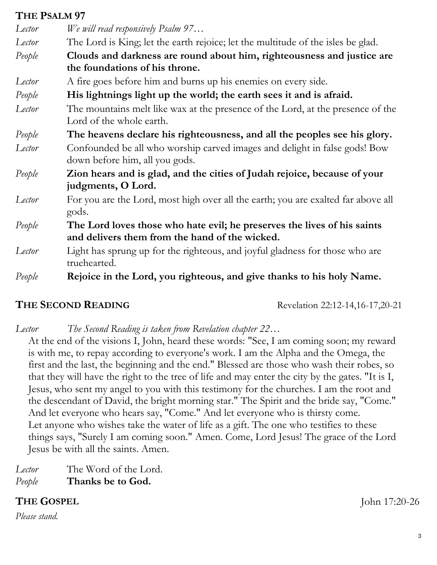## **THE PSALM 97**

| $111L$ $13L1M$ $71$ |                                                                                                                            |  |
|---------------------|----------------------------------------------------------------------------------------------------------------------------|--|
| Lector              | We will read responsively Psalm 97                                                                                         |  |
| Lector              | The Lord is King; let the earth rejoice; let the multitude of the isles be glad.                                           |  |
| People              | Clouds and darkness are round about him, righteousness and justice are                                                     |  |
|                     | the foundations of his throne.                                                                                             |  |
| Lector              | A fire goes before him and burns up his enemies on every side.                                                             |  |
| People              | His lightnings light up the world; the earth sees it and is afraid.                                                        |  |
| Lector              | The mountains melt like wax at the presence of the Lord, at the presence of the<br>Lord of the whole earth.                |  |
| People              | The heavens declare his righteousness, and all the peoples see his glory.                                                  |  |
| Lector              | Confounded be all who worship carved images and delight in false gods! Bow<br>down before him, all you gods.               |  |
| People              | Zion hears and is glad, and the cities of Judah rejoice, because of your<br>judgments, O Lord.                             |  |
| Lector              | For you are the Lord, most high over all the earth; you are exalted far above all<br>gods.                                 |  |
| People              | The Lord loves those who hate evil; he preserves the lives of his saints<br>and delivers them from the hand of the wicked. |  |
| Lector              | Light has sprung up for the righteous, and joyful gladness for those who are<br>truehearted.                               |  |
| People              | Rejoice in the Lord, you righteous, and give thanks to his holy Name.                                                      |  |

**THE SECOND READING** Revelation 22:12-14,16-17,20-21

*Lector The Second Reading is taken from Revelation chapter 22…*

At the end of the visions I, John, heard these words: "See, I am coming soon; my reward is with me, to repay according to everyone's work. I am the Alpha and the Omega, the first and the last, the beginning and the end." Blessed are those who wash their robes, so that they will have the right to the tree of life and may enter the city by the gates. "It is I, Jesus, who sent my angel to you with this testimony for the churches. I am the root and the descendant of David, the bright morning star." The Spirit and the bride say, "Come." And let everyone who hears say, "Come." And let everyone who is thirsty come. Let anyone who wishes take the water of life as a gift. The one who testifies to these things says, "Surely I am coming soon." Amen. Come, Lord Jesus! The grace of the Lord Jesus be with all the saints. Amen.

*Lector* The Word of the Lord.

*People* **Thanks be to God.**

# **THE GOSPEL** John 17:20-26

*Please stand.*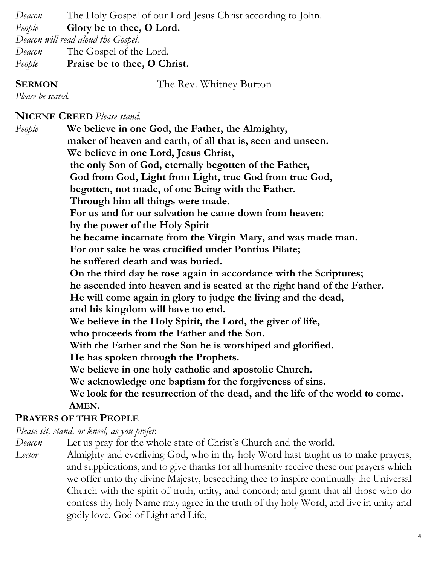*Deacon* The Holy Gospel of our Lord Jesus Christ according to John. *People* **Glory be to thee, O Lord.**  *Deacon will read aloud the Gospel. Deacon* The Gospel of the Lord. *People* **Praise be to thee, O Christ.**

**SERMON** The Rev. Whitney Burton

*Please be seated.*

**NICENE CREED** *Please stand.*

*People* **We believe in one God, the Father, the Almighty, maker of heaven and earth, of all that is, seen and unseen. We believe in one Lord, Jesus Christ, the only Son of God, eternally begotten of the Father, God from God, Light from Light, true God from true God, begotten, not made, of one Being with the Father. Through him all things were made. For us and for our salvation he came down from heaven: by the power of the Holy Spirit he became incarnate from the Virgin Mary, and was made man. For our sake he was crucified under Pontius Pilate; he suffered death and was buried. On the third day he rose again in accordance with the Scriptures; he ascended into heaven and is seated at the right hand of the Father. He will come again in glory to judge the living and the dead, and his kingdom will have no end. We believe in the Holy Spirit, the Lord, the giver of life, who proceeds from the Father and the Son. With the Father and the Son he is worshiped and glorified. He has spoken through the Prophets. We believe in one holy catholic and apostolic Church. We acknowledge one baptism for the forgiveness of sins. We look for the resurrection of the dead, and the life of the world to come. AMEN.**

#### **PRAYERS OF THE PEOPLE**

*Please sit, stand, or kneel, as you prefer.*

*Deacon* Let us pray for the whole state of Christ's Church and the world.

*Lector* Almighty and everliving God, who in thy holy Word hast taught us to make prayers, and supplications, and to give thanks for all humanity receive these our prayers which we offer unto thy divine Majesty, beseeching thee to inspire continually the Universal Church with the spirit of truth, unity, and concord; and grant that all those who do confess thy holy Name may agree in the truth of thy holy Word, and live in unity and godly love. God of Light and Life,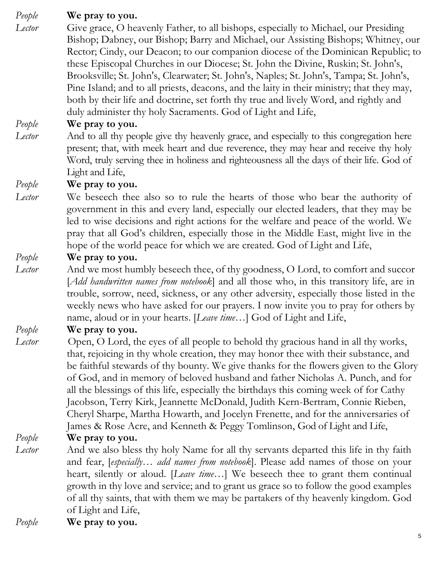*People* **We pray to you.**

*Lector* Give grace, O heavenly Father, to all bishops, especially to Michael, our Presiding Bishop; Dabney, our Bishop; Barry and Michael, our Assisting Bishops; Whitney, our Rector; Cindy, our Deacon; to our companion diocese of the Dominican Republic; to these Episcopal Churches in our Diocese; St. John the Divine, Ruskin; St. John's, Brooksville; St. John's, Clearwater; St. John's, Naples; St. John's, Tampa; St. John's, Pine Island; and to all priests, deacons, and the laity in their ministry; that they may, both by their life and doctrine, set forth thy true and lively Word, and rightly and duly administer thy holy Sacraments. God of Light and Life,

#### *People* **We pray to you.**

*Lector* And to all thy people give thy heavenly grace, and especially to this congregation here present; that, with meek heart and due reverence, they may hear and receive thy holy Word, truly serving thee in holiness and righteousness all the days of their life. God of Light and Life,

*People* **We pray to you.**

*Lector* We beseech thee also so to rule the hearts of those who bear the authority of government in this and every land, especially our elected leaders, that they may be led to wise decisions and right actions for the welfare and peace of the world. We pray that all God's children, especially those in the Middle East, might live in the hope of the world peace for which we are created. God of Light and Life,

## *People* **We pray to you.**

*Lector* And we most humbly beseech thee, of thy goodness, O Lord, to comfort and succor [*Add handwritten names from notebook*] and all those who, in this transitory life, are in trouble, sorrow, need, sickness, or any other adversity, especially those listed in the weekly news who have asked for our prayers. I now invite you to pray for others by name, aloud or in your hearts. [*Leave time…*] God of Light and Life,

## *People* **We pray to you.**

*Lector* Open, O Lord, the eyes of all people to behold thy gracious hand in all thy works, that, rejoicing in thy whole creation, they may honor thee with their substance, and be faithful stewards of thy bounty. We give thanks for the flowers given to the Glory of God, and in memory of beloved husband and father Nicholas A. Punch, and for all the blessings of this life, especially the birthdays this coming week of for Cathy Jacobson, Terry Kirk, Jeannette McDonald, Judith Kern-Bertram, Connie Rieben, Cheryl Sharpe, Martha Howarth, and Jocelyn Frenette, and for the anniversaries of James & Rose Acre, and Kenneth & Peggy Tomlinson, God of Light and Life,

*People* **We pray to you.**

*Lector* And we also bless thy holy Name for all thy servants departed this life in thy faith and fear, [*especially… add names from notebook*]. Please add names of those on your heart, silently or aloud. [*Leave time…*] We beseech thee to grant them continual growth in thy love and service; and to grant us grace so to follow the good examples of all thy saints, that with them we may be partakers of thy heavenly kingdom. God of Light and Life,

*People* **We pray to you.**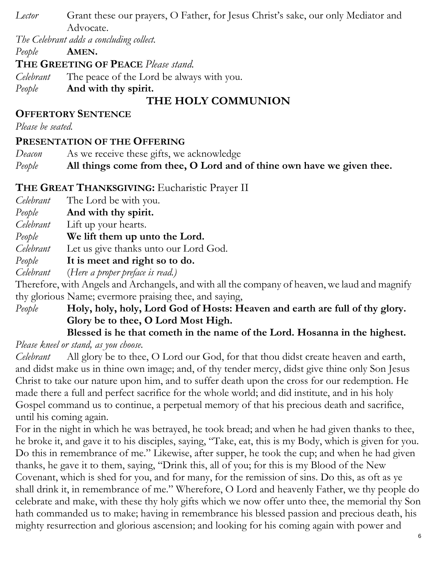*Lector* Grant these our prayers, O Father, for Jesus Christ's sake, our only Mediator and Advocate.

*The Celebrant adds a concluding collect.* 

*People* **AMEN.**

**THE GREETING OF PEACE** *Please stand.*

*Celebrant* The peace of the Lord be always with you.

*People* **And with thy spirit.**

# **THE HOLY COMMUNION**

## **OFFERTORY SENTENCE**

*Please be seated.*

# **PRESENTATION OF THE OFFERING**

*Deacon* As we receive these gifts, we acknowledge

*People* **All things come from thee, O Lord and of thine own have we given thee.**

# **THE GREAT THANKSGIVING:** Eucharistic Prayer II

*Celebrant* The Lord be with you.

- *People* **And with thy spirit.**
- *Celebrant* Lift up your hearts.
- *People* **We lift them up unto the Lord.**
- *Celebrant* Let us give thanks unto our Lord God.
- *People* **It is meet and right so to do.**
- *Celebrant* (*Here a proper preface is read.)*

Therefore, with Angels and Archangels, and with all the company of heaven, we laud and magnify thy glorious Name; evermore praising thee, and saying,

# *People* **Holy, holy, holy, Lord God of Hosts: Heaven and earth are full of thy glory. Glory be to thee, O Lord Most High.**

# **Blessed is he that cometh in the name of the Lord. Hosanna in the highest.**

*Please kneel or stand, as you choose.*

*Celebrant* All glory be to thee, O Lord our God, for that thou didst create heaven and earth, and didst make us in thine own image; and, of thy tender mercy, didst give thine only Son Jesus Christ to take our nature upon him, and to suffer death upon the cross for our redemption. He made there a full and perfect sacrifice for the whole world; and did institute, and in his holy Gospel command us to continue, a perpetual memory of that his precious death and sacrifice, until his coming again.

For in the night in which he was betrayed, he took bread; and when he had given thanks to thee, he broke it, and gave it to his disciples, saying, "Take, eat, this is my Body, which is given for you. Do this in remembrance of me." Likewise, after supper, he took the cup; and when he had given thanks, he gave it to them, saying, "Drink this, all of you; for this is my Blood of the New Covenant, which is shed for you, and for many, for the remission of sins. Do this, as oft as ye shall drink it, in remembrance of me." Wherefore, O Lord and heavenly Father, we thy people do celebrate and make, with these thy holy gifts which we now offer unto thee, the memorial thy Son hath commanded us to make; having in remembrance his blessed passion and precious death, his mighty resurrection and glorious ascension; and looking for his coming again with power and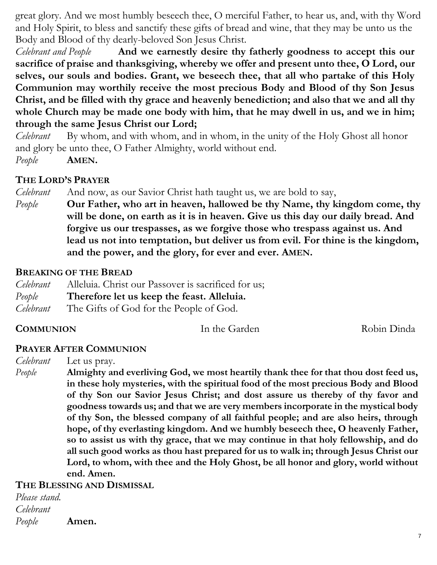great glory. And we most humbly beseech thee, O merciful Father, to hear us, and, with thy Word and Holy Spirit, to bless and sanctify these gifts of bread and wine, that they may be unto us the Body and Blood of thy dearly-beloved Son Jesus Christ.

*Celebrant and People* **And we earnestly desire thy fatherly goodness to accept this our sacrifice of praise and thanksgiving, whereby we offer and present unto thee, O Lord, our selves, our souls and bodies. Grant, we beseech thee, that all who partake of this Holy Communion may worthily receive the most precious Body and Blood of thy Son Jesus Christ, and be filled with thy grace and heavenly benediction; and also that we and all thy whole Church may be made one body with him, that he may dwell in us, and we in him; through the same Jesus Christ our Lord;** 

*Celebrant* By whom, and with whom, and in whom, in the unity of the Holy Ghost all honor and glory be unto thee, O Father Almighty, world without end. *People* **AMEN.**

#### **THE LORD'S PRAYER**

*Celebrant* And now, as our Savior Christ hath taught us, we are bold to say,

*People* **Our Father, who art in heaven, hallowed be thy Name, thy kingdom come, thy will be done, on earth as it is in heaven. Give us this day our daily bread. And forgive us our trespasses, as we forgive those who trespass against us. And lead us not into temptation, but deliver us from evil. For thine is the kingdom, and the power, and the glory, for ever and ever. AMEN.**

#### **BREAKING OF THE BREAD**

- *Celebrant* Alleluia. Christ our Passover is sacrificed for us;
- *People* **Therefore let us keep the feast. Alleluia.**
- *Celebrant* The Gifts of God for the People of God.

## **COMMUNION** In the Garden Robin Dinda

#### **PRAYER AFTER COMMUNION**

*Celebrant* Let us pray.

*People* **Almighty and everliving God, we most heartily thank thee for that thou dost feed us, in these holy mysteries, with the spiritual food of the most precious Body and Blood of thy Son our Savior Jesus Christ; and dost assure us thereby of thy favor and goodness towards us; and that we are very members incorporate in the mystical body of thy Son, the blessed company of all faithful people; and are also heirs, through hope, of thy everlasting kingdom. And we humbly beseech thee, O heavenly Father, so to assist us with thy grace, that we may continue in that holy fellowship, and do all such good works as thou hast prepared for us to walk in; through Jesus Christ our Lord, to whom, with thee and the Holy Ghost, be all honor and glory, world without end. Amen.**

#### **THE BLESSING AND DISMISSAL**

*Please stand. Celebrant People* **Amen.**